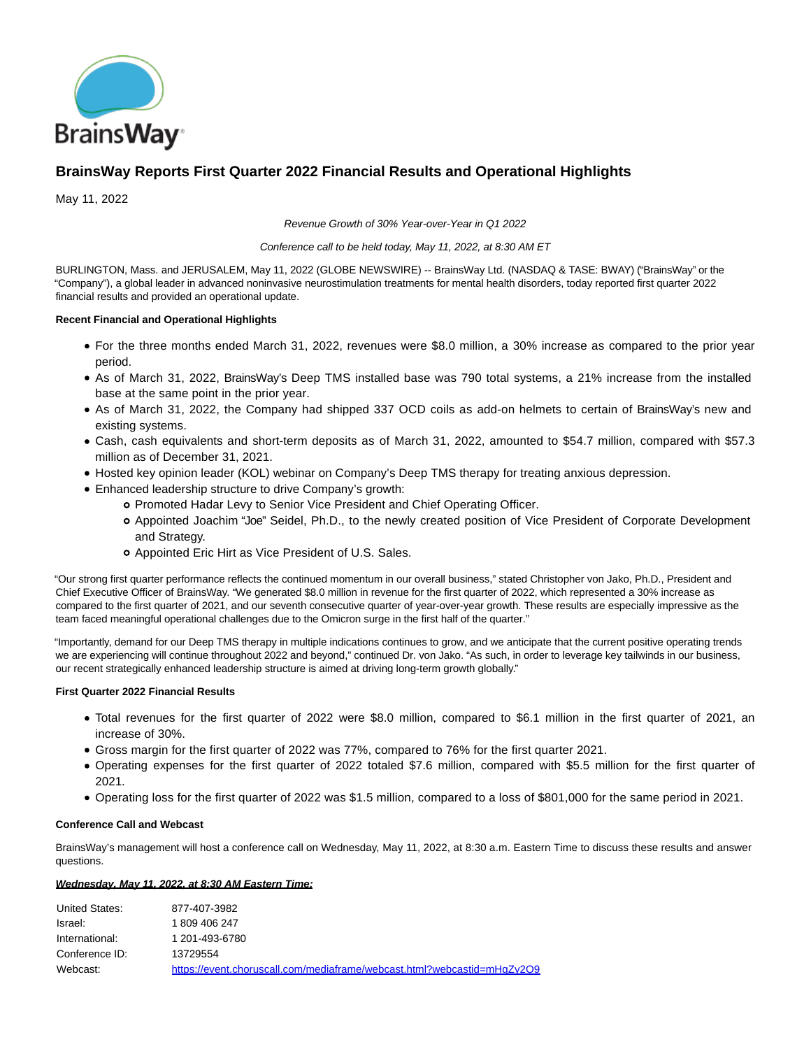

# **BrainsWay Reports First Quarter 2022 Financial Results and Operational Highlights**

May 11, 2022

Revenue Growth of 30% Year-over-Year in Q1 2022

Conference call to be held today, May 11, 2022, at 8:30 AM ET

BURLINGTON, Mass. and JERUSALEM, May 11, 2022 (GLOBE NEWSWIRE) -- BrainsWay Ltd. (NASDAQ & TASE: BWAY) ("BrainsWay" or the "Company"), a global leader in advanced noninvasive neurostimulation treatments for mental health disorders, today reported first quarter 2022 financial results and provided an operational update.

# **Recent Financial and Operational Highlights**

- For the three months ended March 31, 2022, revenues were \$8.0 million, a 30% increase as compared to the prior year period.
- As of March 31, 2022, BrainsWay's Deep TMS installed base was 790 total systems, a 21% increase from the installed base at the same point in the prior year.
- As of March 31, 2022, the Company had shipped 337 OCD coils as add-on helmets to certain of BrainsWay's new and existing systems.
- Cash, cash equivalents and short-term deposits as of March 31, 2022, amounted to \$54.7 million, compared with \$57.3 million as of December 31, 2021.
- Hosted key opinion leader (KOL) webinar on Company's Deep TMS therapy for treating anxious depression.
- Enhanced leadership structure to drive Company's growth:
	- Promoted Hadar Levy to Senior Vice President and Chief Operating Officer.
	- Appointed Joachim "Joe" Seidel, Ph.D., to the newly created position of Vice President of Corporate Development and Strategy.
	- Appointed Eric Hirt as Vice President of U.S. Sales.

"Our strong first quarter performance reflects the continued momentum in our overall business," stated Christopher von Jako, Ph.D., President and Chief Executive Officer of BrainsWay. "We generated \$8.0 million in revenue for the first quarter of 2022, which represented a 30% increase as compared to the first quarter of 2021, and our seventh consecutive quarter of year-over-year growth. These results are especially impressive as the team faced meaningful operational challenges due to the Omicron surge in the first half of the quarter."

"Importantly, demand for our Deep TMS therapy in multiple indications continues to grow, and we anticipate that the current positive operating trends we are experiencing will continue throughout 2022 and beyond," continued Dr. von Jako. "As such, in order to leverage key tailwinds in our business, our recent strategically enhanced leadership structure is aimed at driving long-term growth globally."

# **First Quarter 2022 Financial Results**

- Total revenues for the first quarter of 2022 were \$8.0 million, compared to \$6.1 million in the first quarter of 2021, an increase of 30%.
- Gross margin for the first quarter of 2022 was 77%, compared to 76% for the first quarter 2021.
- Operating expenses for the first quarter of 2022 totaled \$7.6 million, compared with \$5.5 million for the first quarter of 2021.
- Operating loss for the first quarter of 2022 was \$1.5 million, compared to a loss of \$801,000 for the same period in 2021.

# **Conference Call and Webcast**

BrainsWay's management will host a conference call on Wednesday, May 11, 2022, at 8:30 a.m. Eastern Time to discuss these results and answer questions.

# **Wednesday, May 11, 2022, at 8:30 AM Eastern Time:**

| <b>United States:</b> | 877-407-3982                                                            |
|-----------------------|-------------------------------------------------------------------------|
| Israel:               | 1809 406 247                                                            |
| International:        | 1 201-493-6780                                                          |
| Conference ID:        | 13729554                                                                |
| Webcast:              | https://event.choruscall.com/mediaframe/webcast.html?webcastid=mHqZv2O9 |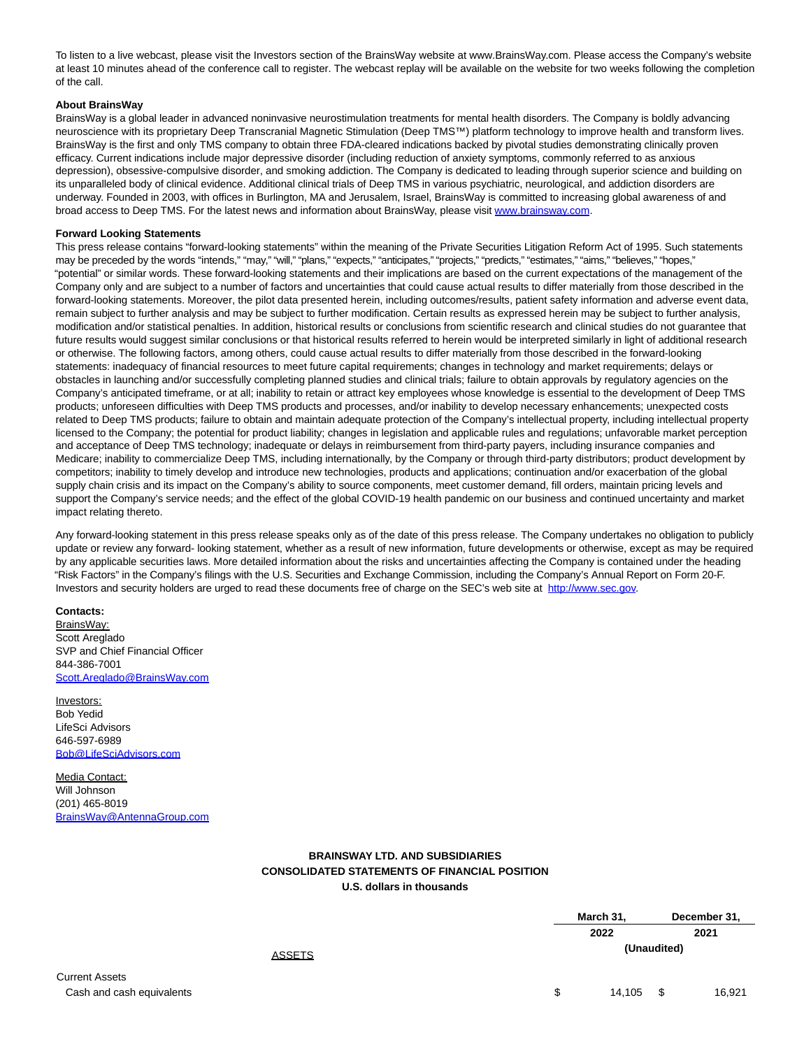To listen to a live webcast, please visit the Investors section of the BrainsWay website at www.BrainsWay.com. Please access the Company's website at least 10 minutes ahead of the conference call to register. The webcast replay will be available on the website for two weeks following the completion of the call.

# **About BrainsWay**

BrainsWay is a global leader in advanced noninvasive neurostimulation treatments for mental health disorders. The Company is boldly advancing neuroscience with its proprietary Deep Transcranial Magnetic Stimulation (Deep TMS™) platform technology to improve health and transform lives. BrainsWay is the first and only TMS company to obtain three FDA-cleared indications backed by pivotal studies demonstrating clinically proven efficacy. Current indications include major depressive disorder (including reduction of anxiety symptoms, commonly referred to as anxious depression), obsessive-compulsive disorder, and smoking addiction. The Company is dedicated to leading through superior science and building on its unparalleled body of clinical evidence. Additional clinical trials of Deep TMS in various psychiatric, neurological, and addiction disorders are underway. Founded in 2003, with offices in Burlington, MA and Jerusalem, Israel, BrainsWay is committed to increasing global awareness of and broad access to Deep TMS. For the latest news and information about BrainsWay, please visit [www.brainsway.com.](https://www.globenewswire.com/Tracker?data=qXsLrWWzDmtKlZ0i9jRJ2CarBjIZo03zl_CSTPvqyqtxXaun8vOrb6h1dPX7DDTNPuN_KRLuBSgvffJ5st2rA91QGn0luYunTIyqD4fCgbo=)

# **Forward Looking Statements**

This press release contains "forward-looking statements" within the meaning of the Private Securities Litigation Reform Act of 1995. Such statements may be preceded by the words "intends," "may," "will," "plans," "expects," "anticipates," "projects," "predicts," "estimates," "aims," "believes," "hopes," "potential" or similar words. These forward-looking statements and their implications are based on the current expectations of the management of the Company only and are subject to a number of factors and uncertainties that could cause actual results to differ materially from those described in the forward-looking statements. Moreover, the pilot data presented herein, including outcomes/results, patient safety information and adverse event data, remain subject to further analysis and may be subject to further modification. Certain results as expressed herein may be subject to further analysis, modification and/or statistical penalties. In addition, historical results or conclusions from scientific research and clinical studies do not guarantee that future results would suggest similar conclusions or that historical results referred to herein would be interpreted similarly in light of additional research or otherwise. The following factors, among others, could cause actual results to differ materially from those described in the forward-looking statements: inadequacy of financial resources to meet future capital requirements; changes in technology and market requirements; delays or obstacles in launching and/or successfully completing planned studies and clinical trials; failure to obtain approvals by regulatory agencies on the Company's anticipated timeframe, or at all; inability to retain or attract key employees whose knowledge is essential to the development of Deep TMS products; unforeseen difficulties with Deep TMS products and processes, and/or inability to develop necessary enhancements; unexpected costs related to Deep TMS products; failure to obtain and maintain adequate protection of the Company's intellectual property, including intellectual property licensed to the Company; the potential for product liability; changes in legislation and applicable rules and regulations; unfavorable market perception and acceptance of Deep TMS technology; inadequate or delays in reimbursement from third-party payers, including insurance companies and Medicare; inability to commercialize Deep TMS, including internationally, by the Company or through third-party distributors; product development by competitors; inability to timely develop and introduce new technologies, products and applications; continuation and/or exacerbation of the global supply chain crisis and its impact on the Company's ability to source components, meet customer demand, fill orders, maintain pricing levels and support the Company's service needs; and the effect of the global COVID-19 health pandemic on our business and continued uncertainty and market impact relating thereto.

Any forward-looking statement in this press release speaks only as of the date of this press release. The Company undertakes no obligation to publicly update or review any forward- looking statement, whether as a result of new information, future developments or otherwise, except as may be required by any applicable securities laws. More detailed information about the risks and uncertainties affecting the Company is contained under the heading "Risk Factors" in the Company's filings with the U.S. Securities and Exchange Commission, including the Company's Annual Report on Form 20-F. Investors and security holders are urged to read these documents free of charge on the SEC's web site at [http://www.sec.gov.](https://www.globenewswire.com/Tracker?data=5RxP6mKa5YSDtm-aoPC1m_i7P52y9pUBrwC2QkRrB1creAwnNQwJoBENI5hZa1Ke65WxeQuIt13xpPMtRLub5Q==)

# **Contacts:**

BrainsWay: Scott Areglado SVP and Chief Financial Officer 844-386-7001 [Scott.Areglado@BrainsWay.com](https://www.globenewswire.com/Tracker?data=u8vhx4ugEoyNOyRtAu1pVEdMD1z6DGcWZXp_bJg4bBUQiVynPedH52SHIZJcJ5KJaH_yO8XnercboZqPyr5ZPuQyrki6b8toeCMX7cIkKrmiVlrzzOWAo4wMIMzTG9_E)

Investors: Bob Yedid LifeSci Advisors 646-597-6989 [Bob@LifeSciAdvisors.com](https://www.globenewswire.com/Tracker?data=lnDgg3XTEw1bB_BM640OwIN5BYAgcBoPrHz4YZrUzq_8gztqYs6t7nDpz3g2gP3GYZIsbYPLLQVnFMiJYzRPaRYgaeylvvG-BH3QLpkCOHQ=)

Media Contact: Will Johnson (201) 465-8019 [BrainsWay@AntennaGroup.com](https://www.globenewswire.com/Tracker?data=8-SY82LvJDMh0YeAzvTr7WlnQHEKhJR2B-RfgVfwZv1rdQK2u8DndtxpE2UWonrPIJNdN7BxMdkmEbJhCXmeZu2rVgFL1u5IjHVL5GGo1assgckQB_nzkEbs304tKA05)

# **BRAINSWAY LTD. AND SUBSIDIARIES CONSOLIDATED STATEMENTS OF FINANCIAL POSITION U.S. dollars in thousands**

| March 31, | December 31, |
|-----------|--------------|
| 2022      | 2021         |
|           | (Unaudited)  |
|           |              |
|           |              |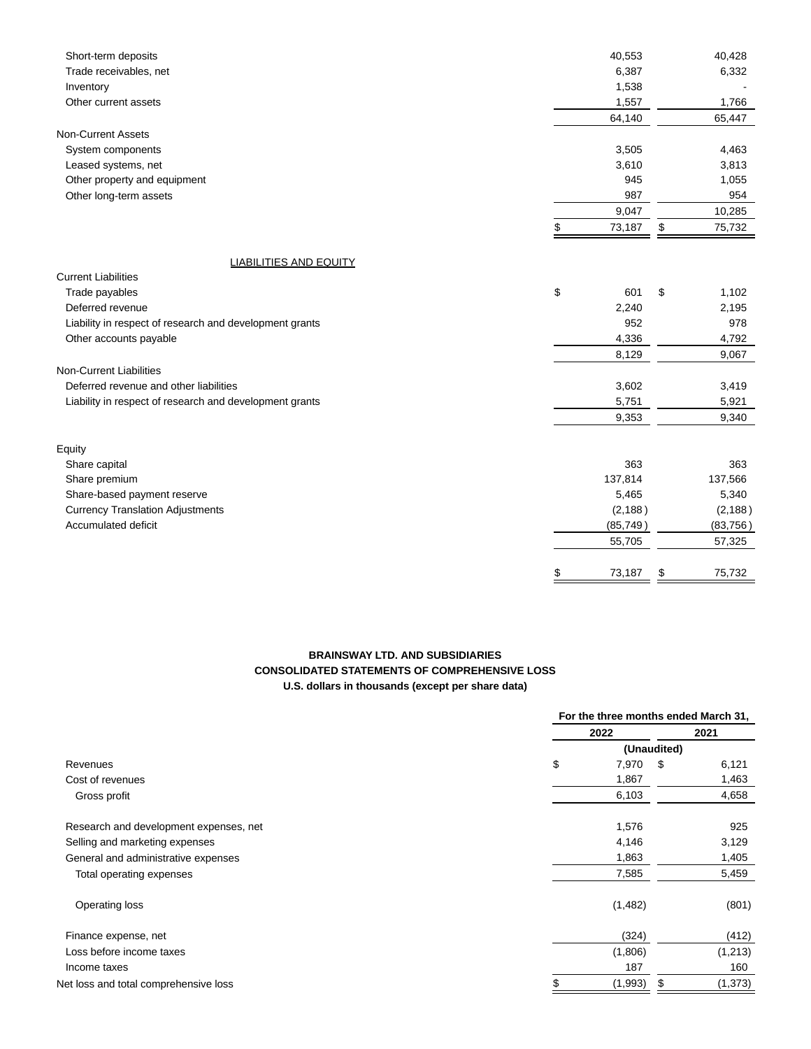| Accumulated deficit                                                      |    | (85, 749)      |    | (83, 756)      |
|--------------------------------------------------------------------------|----|----------------|----|----------------|
| <b>Currency Translation Adjustments</b>                                  |    | (2, 188)       |    | (2, 188)       |
| Share-based payment reserve                                              |    | 5,465          |    | 5,340          |
| Share premium                                                            |    | 137,814        |    | 137,566        |
| Equity<br>Share capital                                                  |    | 363            |    | 363            |
|                                                                          |    | 9,353          |    | 9,340          |
| Liability in respect of research and development grants                  |    | 5,751          |    | 5,921          |
| <b>Non-Current Liabilities</b><br>Deferred revenue and other liabilities |    | 3,602          |    | 3,419          |
|                                                                          |    | 8,129          |    | 9,067          |
| Other accounts payable                                                   |    | 4,336          |    | 4,792          |
| Liability in respect of research and development grants                  |    | 952            |    | 978            |
| Deferred revenue                                                         |    | 2,240          |    | 2,195          |
| Trade payables                                                           | \$ | 601            | \$ | 1,102          |
| <b>LIABILITIES AND EQUITY</b><br><b>Current Liabilities</b>              |    |                |    |                |
|                                                                          | S  | 73,187         | \$ | 75,732         |
|                                                                          |    | 9,047          |    | 10,285         |
| Other long-term assets                                                   |    | 987            |    | 954            |
| Other property and equipment                                             |    | 945            |    | 1,055          |
| System components<br>Leased systems, net                                 |    | 3,505<br>3,610 |    | 4,463<br>3,813 |
| <b>Non-Current Assets</b>                                                |    |                |    |                |
|                                                                          |    | 64,140         |    | 65,447         |
| Other current assets                                                     |    | 1,557          |    | 1,766          |
| Inventory                                                                |    | 1,538          |    |                |
| Trade receivables, net                                                   |    | 6,387          |    | 6,332          |
| Short-term deposits                                                      |    | 40,553         |    | 40,428         |

# **BRAINSWAY LTD. AND SUBSIDIARIES CONSOLIDATED STATEMENTS OF COMPREHENSIVE LOSS U.S. dollars in thousands (except per share data)**

|                                        | For the three months ended March 31, |     |          |  |
|----------------------------------------|--------------------------------------|-----|----------|--|
|                                        | 2022                                 |     | 2021     |  |
|                                        | (Unaudited)                          |     |          |  |
| Revenues                               | \$<br>7,970                          | -\$ | 6,121    |  |
| Cost of revenues                       | 1,867                                |     | 1,463    |  |
| Gross profit                           | 6,103                                |     | 4,658    |  |
| Research and development expenses, net | 1,576                                |     | 925      |  |
| Selling and marketing expenses         | 4,146                                |     | 3,129    |  |
| General and administrative expenses    | 1,863                                |     | 1,405    |  |
| Total operating expenses               | 7,585                                |     | 5,459    |  |
| Operating loss                         | (1, 482)                             |     | (801)    |  |
| Finance expense, net                   | (324)                                |     | (412)    |  |
| Loss before income taxes               | (1,806)                              |     | (1,213)  |  |
| Income taxes                           | 187                                  |     | 160      |  |
| Net loss and total comprehensive loss  | (1,993)                              | \$  | (1, 373) |  |
|                                        |                                      |     |          |  |